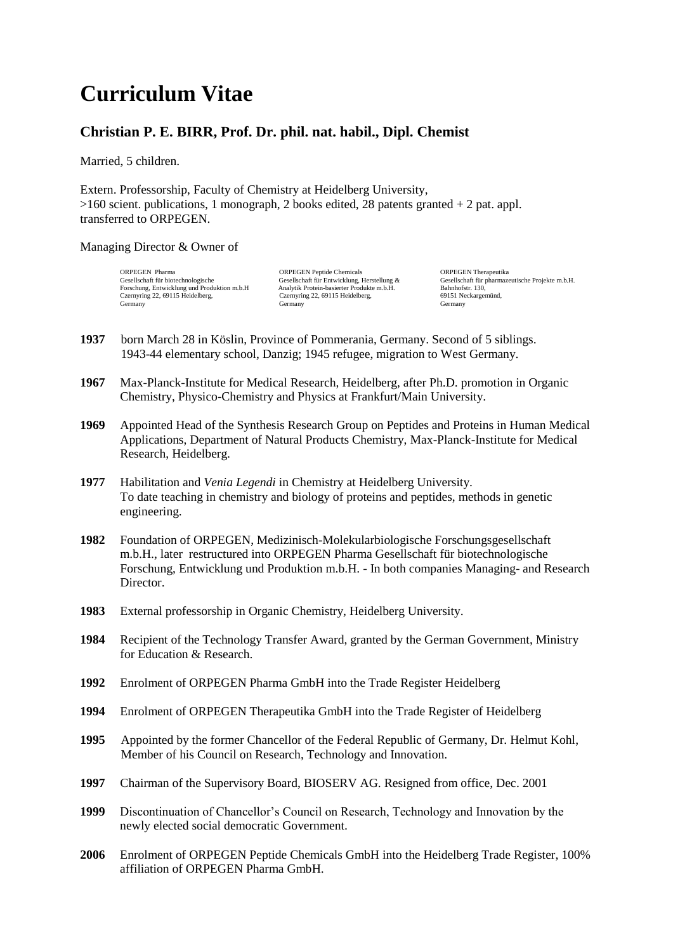## **Curriculum Vitae**

## **Christian P. E. BIRR, Prof. Dr. phil. nat. habil., Dipl. Chemist**

Married, 5 children.

Extern. Professorship, Faculty of Chemistry at Heidelberg University,  $>160$  scient. publications, 1 monograph, 2 books edited, 28 patents granted  $+ 2$  pat. appl. transferred to ORPEGEN.

## Managing Director & Owner of

ORPEGEN Pharma ORPEGEN Peptide Chemicals ORPEGEN Peptide Chemicals ORPEGEN Therapeutika<br>
Gesellschaft für biotechnologische Gesellschaft für Entwicklung, Herstellung & Gesellschaft für pharmazu Forschung, Entwicklung und Produktion m.b.H Analytik Protein-basierter Produkte m.b.H. Bahnhofstr. 130, Czernyring 22, 69115 Heidelberg, Czernyring 22, 69115 Heidelberg, 69151 Neckargemünd, Germany Germany Germany

Gesellschaft für Entwicklung, Herstellung & Gesellschaft für pharmazeutische Projekte m.b.H.<br>Analytik Protein-basierter Produkte m.b.H. Bahnhofstr. 130,

- **1937** born March 28 in Köslin, Province of Pommerania, Germany. Second of 5 siblings. 1943-44 elementary school, Danzig; 1945 refugee, migration to West Germany.
- **1967** Max-Planck-Institute for Medical Research, Heidelberg, after Ph.D. promotion in Organic Chemistry, Physico-Chemistry and Physics at Frankfurt/Main University.
- **1969** Appointed Head of the Synthesis Research Group on Peptides and Proteins in Human Medical Applications, Department of Natural Products Chemistry, Max-Planck-Institute for Medical Research, Heidelberg.
- **1977** Habilitation and *Venia Legendi* in Chemistry at Heidelberg University. To date teaching in chemistry and biology of proteins and peptides, methods in genetic engineering.
- **1982** Foundation of ORPEGEN, Medizinisch-Molekularbiologische Forschungsgesellschaft m.b.H., later restructured into ORPEGEN Pharma Gesellschaft für biotechnologische Forschung, Entwicklung und Produktion m.b.H. - In both companies Managing- and Research Director.
- **1983** External professorship in Organic Chemistry, Heidelberg University.
- **1984** Recipient of the Technology Transfer Award, granted by the German Government, Ministry for Education & Research.
- **1992** Enrolment of ORPEGEN Pharma GmbH into the Trade Register Heidelberg
- **1994** Enrolment of ORPEGEN Therapeutika GmbH into the Trade Register of Heidelberg
- **1995** Appointed by the former Chancellor of the Federal Republic of Germany, Dr. Helmut Kohl, Member of his Council on Research, Technology and Innovation.
- **1997** Chairman of the Supervisory Board, BIOSERV AG. Resigned from office, Dec. 2001
- **1999** Discontinuation of Chancellor's Council on Research, Technology and Innovation by the newly elected social democratic Government.
- **2006** Enrolment of ORPEGEN Peptide Chemicals GmbH into the Heidelberg Trade Register, 100% affiliation of ORPEGEN Pharma GmbH.